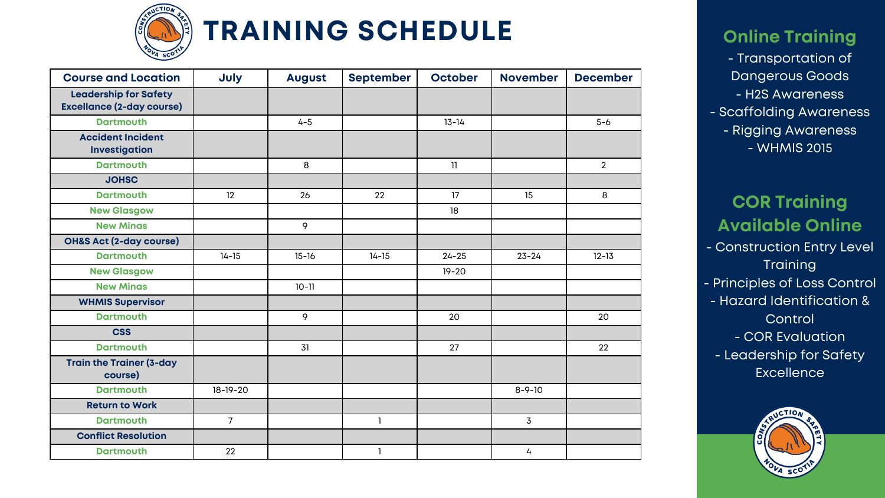

# **TRAINING SCHEDULE**

| <b>Course and Location</b>                                       | July           | <b>August</b> | <b>September</b> | <b>October</b> | <b>November</b> | <b>December</b> |
|------------------------------------------------------------------|----------------|---------------|------------------|----------------|-----------------|-----------------|
| <b>Leadership for Safety</b><br><b>Excellance (2-day course)</b> |                |               |                  |                |                 |                 |
| <b>Dartmouth</b>                                                 |                | $4 - 5$       |                  | $13 - 14$      |                 | $5-6$           |
| <b>Accident Incident</b><br><b>Investigation</b>                 |                |               |                  |                |                 |                 |
| <b>Dartmouth</b>                                                 |                | 8             |                  | 11             |                 | $\overline{2}$  |
| <b>JOHSC</b>                                                     |                |               |                  |                |                 |                 |
| <b>Dartmouth</b>                                                 | 12             | 26            | 22               | 17             | 15              | 8               |
| <b>New Glasgow</b>                                               |                |               |                  | 18             |                 |                 |
| <b>New Minas</b>                                                 |                | 9             |                  |                |                 |                 |
| <b>OH&amp;S Act (2-day course)</b>                               |                |               |                  |                |                 |                 |
| <b>Dartmouth</b>                                                 | $14 - 15$      | $15 - 16$     | $14 - 15$        | $24 - 25$      | $23 - 24$       | $12 - 13$       |
| <b>New Glasgow</b>                                               |                |               |                  | $19 - 20$      |                 |                 |
| <b>New Minas</b>                                                 |                | $10 - 11$     |                  |                |                 |                 |
| <b>WHMIS Supervisor</b>                                          |                |               |                  |                |                 |                 |
| <b>Dartmouth</b>                                                 |                | 9             |                  | 20             |                 | 20              |
| <b>CSS</b>                                                       |                |               |                  |                |                 |                 |
| <b>Dartmouth</b>                                                 |                | 31            |                  | 27             |                 | 22              |
| <b>Train the Trainer (3-day</b><br>course)                       |                |               |                  |                |                 |                 |
| <b>Dartmouth</b>                                                 | $18 - 19 - 20$ |               |                  |                | $8 - 9 - 10$    |                 |
| <b>Return to Work</b>                                            |                |               |                  |                |                 |                 |
| <b>Dartmouth</b>                                                 | $\overline{7}$ |               |                  |                | $\overline{3}$  |                 |
| <b>Conflict Resolution</b>                                       |                |               |                  |                |                 |                 |
| <b>Dartmouth</b>                                                 | 22             |               |                  |                | 4               |                 |

- Construction Entry Level **Training** - Principles of Loss Control - Hazard Identification & Control - COR Evaluation - Leadership for Safety **Excellence** 



#### **Online Training** - Transportation of Dangerous Goods - H2S Awareness - Scaffolding Awareness - Rigging Awareness - WHMIS 2015

# **COR Training Available Online**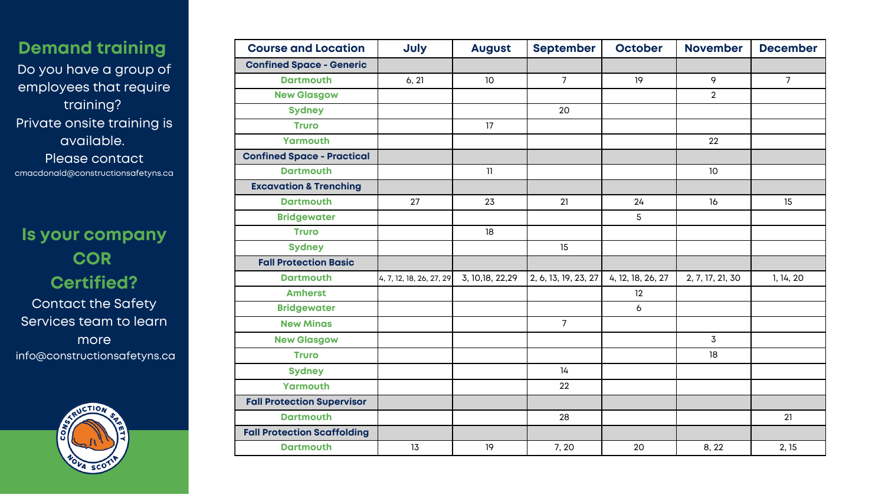| <b>Course and Location</b>         | July                                    | <b>August</b>     | <b>September</b>     | <b>October</b>    | <b>November</b>  | <b>December</b> |
|------------------------------------|-----------------------------------------|-------------------|----------------------|-------------------|------------------|-----------------|
| <b>Confined Space - Generic</b>    |                                         |                   |                      |                   |                  |                 |
| <b>Dartmouth</b>                   | 6, 21                                   | 10 <sup>°</sup>   | 7 <sup>1</sup>       | 19                | 9                | $\overline{7}$  |
| <b>New Glasgow</b>                 |                                         |                   |                      |                   | $\overline{2}$   |                 |
| <b>Sydney</b>                      |                                         |                   | 20                   |                   |                  |                 |
| <b>Truro</b>                       |                                         | 17                |                      |                   |                  |                 |
| Yarmouth                           |                                         |                   |                      |                   | 22               |                 |
| <b>Confined Space - Practical</b>  |                                         |                   |                      |                   |                  |                 |
| <b>Dartmouth</b>                   |                                         | 11                |                      |                   | 10 <sup>°</sup>  |                 |
| <b>Excavation &amp; Trenching</b>  |                                         |                   |                      |                   |                  |                 |
| <b>Dartmouth</b>                   | 27                                      | 23                | 21                   | 24                | 16               | 15              |
| <b>Bridgewater</b>                 |                                         |                   |                      | $5\phantom{.}$    |                  |                 |
| <b>Truro</b>                       |                                         | 18                |                      |                   |                  |                 |
| <b>Sydney</b>                      |                                         |                   | 15                   |                   |                  |                 |
| <b>Fall Protection Basic</b>       |                                         |                   |                      |                   |                  |                 |
| <b>Dartmouth</b>                   | $\left[4, 7, 12, 18, 26, 27, 29\right]$ | 3, 10, 18, 22, 29 | 2, 6, 13, 19, 23, 27 | 4, 12, 18, 26, 27 | 2, 7, 17, 21, 30 | 1, 14, 20       |
| <b>Amherst</b>                     |                                         |                   |                      | 12                |                  |                 |
| <b>Bridgewater</b>                 |                                         |                   |                      | 6                 |                  |                 |
| <b>New Minas</b>                   |                                         |                   | $\overline{7}$       |                   |                  |                 |
| <b>New Glasgow</b>                 |                                         |                   |                      |                   | $\overline{3}$   |                 |
| <b>Truro</b>                       |                                         |                   |                      |                   | 18               |                 |
| <b>Sydney</b>                      |                                         |                   | 14                   |                   |                  |                 |
| Yarmouth                           |                                         |                   | 22                   |                   |                  |                 |
| <b>Fall Protection Supervisor</b>  |                                         |                   |                      |                   |                  |                 |
| <b>Dartmouth</b>                   |                                         |                   | 28                   |                   |                  | 21              |
| <b>Fall Protection Scaffolding</b> |                                         |                   |                      |                   |                  |                 |
| <b>Dartmouth</b>                   | 13                                      | 19                | 7, 20                | 20                | 8, 22            | 2, 15           |

### **Demand training**

Do you have a group of employees that require training? Private onsite training is available. Please contact [cmacdonald@constructionsafetyns.ca](mailto:cmacdonald@constructionsafetyns.ca)

## **Is your company COR Certified?** Contact the Safety Services team to learn

more [info@constructionsafetyns.ca](mailto:info@constructionsafetyns.ca)